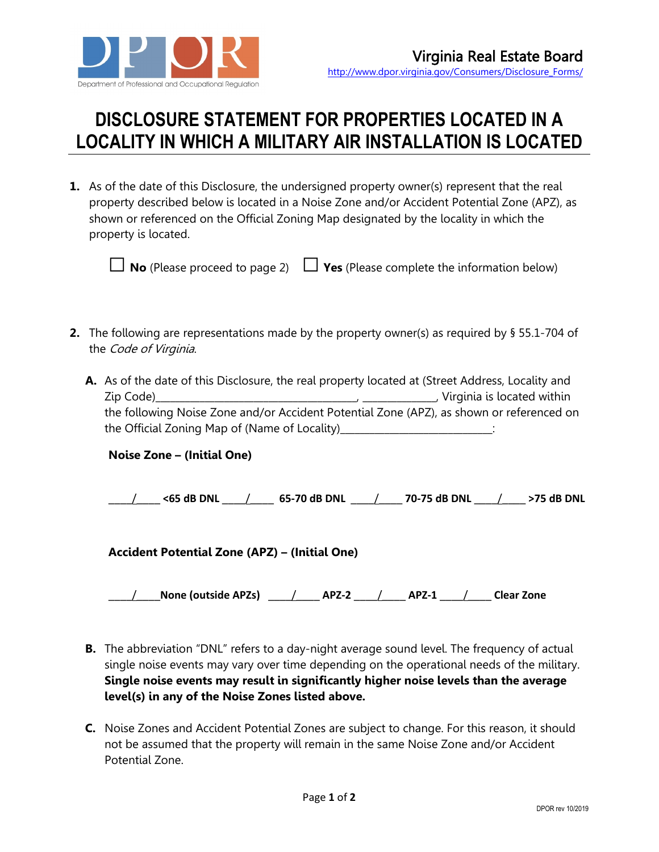

## **DISCLOSURE STATEMENT FOR PROPERTIES LOCATED IN A LOCALITY IN WHICH A MILITARY AIR INSTALLATION IS LOCATED**

**1.** As of the date of this Disclosure, the undersigned property owner(s) represent that the real property described below is located in a Noise Zone and/or Accident Potential Zone (APZ), as shown or referenced on the Official Zoning Map designated by the locality in which the property is located.

 $\Box$  **No** (Please proceed to page 2)  $\Box$  **Yes** (Please complete the information below)

**2.** The following are representations made by the property owner(s) as required by § 55.1-704 of the Code of Virginia.

| A. As of the date of this Disclosure, the real property located at (Street Address, Locality and                                                                                                                                                                                                           |
|------------------------------------------------------------------------------------------------------------------------------------------------------------------------------------------------------------------------------------------------------------------------------------------------------------|
| $\overline{\phantom{a}}$ , Virginia is located within<br>Zip Code)<br>$\mathbf{r}$ and $\mathbf{r}$ are the set of the set of the set of the set of the set of the set of the set of the set of the set of the set of the set of the set of the set of the set of the set of the set of the set of the set |
| the following Noise Zone and/or Accident Potential Zone (APZ), as shown or referenced on                                                                                                                                                                                                                   |
| the Official Zoning Map of (Name of Locality)_                                                                                                                                                                                                                                                             |

| <b>Noise Zone - (Initial One)</b> |
|-----------------------------------|
|-----------------------------------|

\_\_\_\_/\_\_\_\_ **<65 dB DNL** \_\_\_\_/\_\_\_\_ **65-70 dB DNL** \_\_\_\_/\_\_\_\_ **70-75 dB DNL** \_\_\_\_/\_\_\_\_ **>75 dB DNL**

**Accident Potential Zone (APZ) – (Initial One)**

\_\_\_\_/\_\_\_\_**None (outside APZs)** \_\_\_\_/\_\_\_\_ **APZ-2** \_\_\_\_/\_\_\_\_ **APZ-1** \_\_\_\_/\_\_\_\_ **Clear Zone**

- **B.** The abbreviation "DNL" refers to a day-night average sound level. The frequency of actual single noise events may vary over time depending on the operational needs of the military. **Single noise events may result in significantly higher noise levels than the average level(s) in any of the Noise Zones listed above.**
- **C.** Noise Zones and Accident Potential Zones are subject to change. For this reason, it should not be assumed that the property will remain in the same Noise Zone and/or Accident Potential Zone.